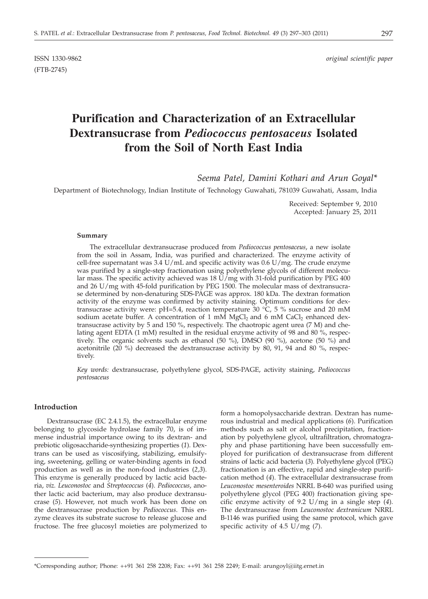(FTB-2745)

ISSN 1330-9862 *original scientific paper*

# **Purification and Characterization of an Extracellular Dextransucrase from** *Pediococcus pentosaceus* **Isolated from the Soil of North East India**

*Seema Patel, Damini Kothari and Arun Goyal\**

Department of Biotechnology, Indian Institute of Technology Guwahati, 781039 Guwahati, Assam, India

Received: September 9, 2010 Accepted: January 25, 2011

#### **Summary**

The extracellular dextransucrase produced from *Pediococcus pentosaceus*, a new isolate from the soil in Assam, India, was purified and characterized. The enzyme activity of cell-free supernatant was 3.4 U/mL and specific activity was 0.6 U/mg. The crude enzyme was purified by a single-step fractionation using polyethylene glycols of different molecular mass. The specific activity achieved was 18  $\check{U}/\check{m}g$  with 31-fold purification by PEG 400 and 26 U/mg with 45-fold purification by PEG 1500. The molecular mass of dextransucrase determined by non-denaturing SDS-PAGE was approx. 180 kDa. The dextran formation activity of the enzyme was confirmed by activity staining. Optimum conditions for dextransucrase activity were: pH=5.4, reaction temperature 30  $\degree$ C, 5 % sucrose and 20 mM sodium acetate buffer. A concentration of 1 mM  $MgCl<sub>2</sub>$  and 6 mM CaCl<sub>2</sub> enhanced dextransucrase activity by 5 and 150 %, respectively. The chaotropic agent urea (7 M) and chelating agent EDTA (1 mM) resulted in the residual enzyme activity of 98 and 80 %, respectively. The organic solvents such as ethanol (50 %), DMSO (90 %), acetone (50 %) and acetonitrile (20 %) decreased the dextransucrase activity by 80, 91, 94 and 80 %, respectively.

*Key words:* dextransucrase, polyethylene glycol, SDS-PAGE, activity staining, *Pediococcus pentosaceus*

#### **Introduction**

Dextransucrase (EC 2.4.1.5), the extracellular enzyme belonging to glycoside hydrolase family 70, is of immense industrial importance owing to its dextran- and prebiotic oligosaccharide-synthesizing properties (*1*). Dextrans can be used as viscosifying, stabilizing, emulsifying, sweetening, gelling or water-binding agents in food production as well as in the non-food industries (*2,3*). This enzyme is generally produced by lactic acid bacteria, *viz. Leuconostoc* and *Streptococcus* (*4*). *Pediococcus*, another lactic acid bacterium, may also produce dextransucrase (*5*). However, not much work has been done on the dextransucrase production by *Pediococcus*. This enzyme cleaves its substrate sucrose to release glucose and fructose. The free glucosyl moieties are polymerized to

form a homopolysaccharide dextran. Dextran has numerous industrial and medical applications (*6*). Purification methods such as salt or alcohol precipitation, fractionation by polyethylene glycol, ultrafiltration, chromatography and phase partitioning have been successfully employed for purification of dextransucrase from different strains of lactic acid bacteria (*3*). Polyethylene glycol (PEG) fractionation is an effective, rapid and single-step purification method (*4*). The extracellular dextransucrase from *Leuconostoc mesenteroides* NRRL B-640 was purified using polyethylene glycol (PEG 400) fractionation giving specific enzyme activity of 9.2 U/mg in a single step (*4*). The dextransucrase from *Leuconostoc dextranicum* NRRL B-1146 was purified using the same protocol, which gave specific activity of 4.5 U/mg (*7*).

<sup>\*</sup>Corresponding author; Phone: ++91 361 258 2208; Fax: ++91 361 258 2249; E-mail: arungoyl@iitg.ernet.in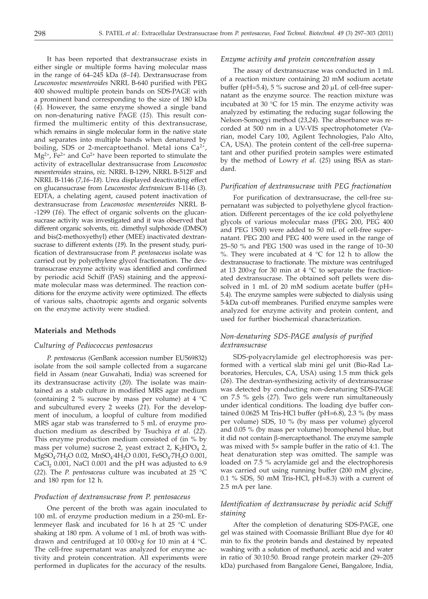It has been reported that dextransucrase exists in either single or multiple forms having molecular mass in the range of 64–245 kDa (*8–14*). Dextransucrase from *Leuconostoc mesenteroides* NRRL B-640 purified with PEG 400 showed multiple protein bands on SDS-PAGE with a prominent band corresponding to the size of 180 kDa (*4*). However, the same enzyme showed a single band on non-denaturing native PAGE (*15*). This result confirmed the multimeric entity of this dextransucrase, which remains in single molecular form in the native state and separates into multiple bands when denatured by boiling, SDS or 2-mercaptoethanol. Metal ions  $Ca^{2+}$ ,  $Mg^{2+}$ ,  $Fe^{2+}$  and  $Co^{2+}$  have been reported to stimulate the activity of extracellular dextransucrase from *Leuconostoc mesenteroides* strains, *viz.* NRRL B-1299, NRRL B-512F and NRRL B-1146 (*7,16*–*18*). Urea displayed deactivating effect on glucansucrase from *Leuconostoc dextranicum* B-1146 (*3*). EDTA, a chelating agent, caused potent inactivation of dextransucrase from *Leuconostoc mesenteroides* NRRL B- -1299 (*16*). The effect of organic solvents on the glucansucrase activity was investigated and it was observed that different organic solvents, *viz.* dimethyl sulphoxide (DMSO) and bis(2-methoxyethyl) ether (MEE) inactivated dextransucrase to different extents (*19*). In the present study, purification of dextransucrase from *P. pentosaceus* isolate was carried out by polyethylene glycol fractionation. The dextransucrase enzyme activity was identified and confirmed by periodic acid Schiff (PAS) staining and the approximate molecular mass was determined. The reaction conditions for the enzyme activity were optimized. The effects of various salts, chaotropic agents and organic solvents on the enzyme activity were studied.

## **Materials and Methods**

#### *Culturing of Pediococcus pentosaceus*

*P. pentosaceus* (GenBank accession number EU569832) isolate from the soil sample collected from a sugarcane field in Assam (near Guwahati, India) was screened for its dextransucrase activity (*20*). The isolate was maintained as a stab culture in modified MRS agar medium (containing 2 % sucrose by mass per volume) at 4 °C and subcultured every 2 weeks (*21*). For the development of inoculum, a loopful of culture from modified MRS agar stab was transferred to 5 mL of enzyme production medium as described by Tsuchiya *et al*. (*22*). This enzyme production medium consisted of (in % by mass per volume) sucrose 2, yeast extract 2,  $K_2HPO_4$  2, MgSO<sub>4</sub>·7H<sub>2</sub>O 0.02, MnSO<sub>4</sub>·4H<sub>2</sub>O 0.001, FeSO<sub>4</sub>·7H<sub>2</sub>O 0.001, CaCl<sub>2</sub> 0.001, NaCl 0.001 and the pH was adjusted to  $6.9$ (*22*). The *P. pentosaceus* culture was incubated at 25 °C and 180 rpm for 12 h.

### *Production of dextransucrase from P. pentosaceus*

One percent of the broth was again inoculated to 100 mL of enzyme production medium in a 250-mL Erlenmeyer flask and incubated for 16 h at 25 °C under shaking at 180 rpm. A volume of 1 mL of broth was withdrawn and centrifuged at 10 000×*g* for 10 min at 4 °C. The cell-free supernatant was analyzed for enzyme activity and protein concentration. All experiments were performed in duplicates for the accuracy of the results.

#### *Enzyme activity and protein concentration assay*

The assay of dextransucrase was conducted in 1 mL of a reaction mixture containing 20 mM sodium acetate buffer (pH=5.4),  $5\%$  sucrose and  $20 \mu L$  of cell-free supernatant as the enzyme source. The reaction mixture was incubated at 30 °C for 15 min. The enzyme activity was analyzed by estimating the reducing sugar following the Nelson-Somogyi method (*23*,*24*). The absorbance was recorded at 500 nm in a UV-VIS spectrophotometer (Varian, model Cary 100, Agilent Technologies, Palo Alto, CA, USA). The protein content of the cell-free supernatant and other purified protein samples were estimated by the method of Lowry *et al*. (*25*) using BSA as standard.

#### *Purification of dextransucrase with PEG fractionation*

For purification of dextransucrase, the cell-free supernatant was subjected to polyethylene glycol fractionation. Different percentages of the ice cold polyethylene glycols of various molecular mass (PEG 200, PEG 400 and PEG 1500) were added to 50 mL of cell-free supernatant. PEG 200 and PEG 400 were used in the range of 25–50 % and PEG 1500 was used in the range of 10–30 %. They were incubated at 4 °C for 12 h to allow the dextransucrase to fractionate. The mixture was centrifuged at 13 200×*g* for 30 min at 4 °C to separate the fractionated dextransucrase. The obtained soft pellets were dissolved in 1 mL of 20 mM sodium acetate buffer (pH= 5.4). The enzyme samples were subjected to dialysis using 5-kDa cut-off membranes. Purified enzyme samples were analyzed for enzyme activity and protein content, and used for further biochemical characterization.

## *Non-denaturing SDS-PAGE analysis of purified dextransucrase*

SDS-polyacrylamide gel electrophoresis was performed with a vertical slab mini gel unit (Bio-Rad Laboratories, Hercules, CA, USA) using 1.5 mm thick gels (*26*). The dextran-synthesizing activity of dextransucrase was detected by conducting non-denaturing SDS-PAGE on 7.5 % gels (*27*). Two gels were run simultaneously under identical conditions. The loading dye buffer contained 0.0625 M Tris-HCl buffer (pH=6.8), 2.3 % (by mass per volume) SDS, 10 % (by mass per volume) glycerol and 0.05 % (by mass per volume) bromophenol blue, but it did not contain  $\beta$ -mercaptoethanol. The enzyme sample was mixed with 5× sample buffer in the ratio of 4:1. The heat denaturation step was omitted. The sample was loaded on 7.5 % acrylamide gel and the electrophoresis was carried out using running buffer (200 mM glycine, 0.1 % SDS, 50 mM Tris-HCl, pH=8.3) with a current of 2.5 mA per lane.

## *Identification of dextransucrase by periodic acid Schiff staining*

After the completion of denaturing SDS-PAGE, one gel was stained with Coomassie Brilliant Blue dye for 40 min to fix the protein bands and destained by repeated washing with a solution of methanol, acetic acid and water in ratio of 30:10:50. Broad range protein marker (29–205 kDa) purchased from Bangalore Genei, Bangalore, India,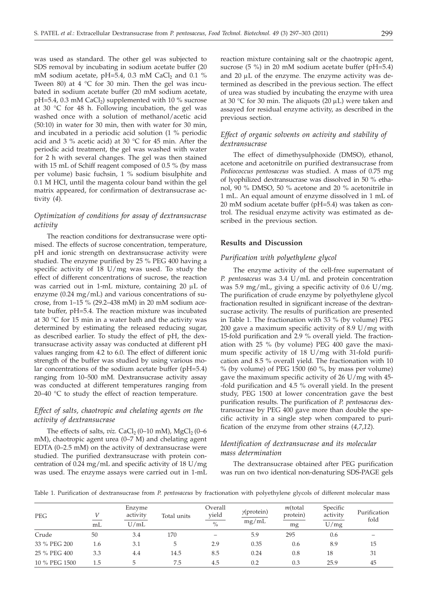was used as standard. The other gel was subjected to SDS removal by incubating in sodium acetate buffer (20 mM sodium acetate, pH=5.4, 0.3 mM CaCl<sub>2</sub> and 0.1 % Tween 80) at 4  $\degree$ C for 30 min. Then the gel was incubated in sodium acetate buffer (20 mM sodium acetate,  $pH=5.4$ , 0.3 mM CaCl<sub>2</sub>) supplemented with 10 % sucrose at 30 °C for 48 h. Following incubation, the gel was washed once with a solution of methanol/acetic acid (50:10) in water for 30 min, then with water for 30 min, and incubated in a periodic acid solution (1 % periodic acid and 3 % acetic acid) at 30 °C for 45 min. After the periodic acid treatment, the gel was washed with water for 2 h with several changes. The gel was then stained with 15 mL of Schiff reagent composed of 0.5 % (by mass per volume) basic fuchsin, 1 % sodium bisulphite and 0.1 M HCl, until the magenta colour band within the gel matrix appeared, for confirmation of dextransucrase activity (*4*).

# *Optimization of conditions for assay of dextransucrase activity*

The reaction conditions for dextransucrase were optimised. The effects of sucrose concentration, temperature, pH and ionic strength on dextransucrase activity were studied. The enzyme purified by 25 % PEG 400 having a specific activity of 18 U/mg was used. To study the effect of different concentrations of sucrose, the reaction was carried out in 1-mL mixture, containing 20 µL of enzyme (0.24 mg/mL) and various concentrations of sucrose, from 1–15 % (29.2–438 mM) in 20 mM sodium acetate buffer, pH=5.4. The reaction mixture was incubated at 30 °C for 15 min in a water bath and the activity was determined by estimating the released reducing sugar, as described earlier. To study the effect of pH, the dextransucrase activity assay was conducted at different pH values ranging from 4.2 to 6.0. The effect of different ionic strength of the buffer was studied by using various molar concentrations of the sodium acetate buffer (pH=5.4) ranging from 10–500 mM. Dextransucrase activity assay was conducted at different temperatures ranging from 20–40 °C to study the effect of reaction temperature.

# *Effect of salts, chaotropic and chelating agents on the activity of dextransucrase*

The effects of salts,  $viz$ . CaCl<sub>2</sub> (0–10 mM), MgCl<sub>2</sub> (0–6 mM), chaotropic agent urea (0–7 M) and chelating agent EDTA (0–2.5 mM) on the activity of dextransucrase were studied. The purified dextransucrase with protein concentration of 0.24 mg/mL and specific activity of 18 U/mg was used. The enzyme assays were carried out in 1-mL

reaction mixture containing salt or the chaotropic agent, sucrose (5 %) in 20 mM sodium acetate buffer (pH=5.4) and  $20 \mu L$  of the enzyme. The enzyme activity was determined as described in the previous section. The effect of urea was studied by incubating the enzyme with urea at 30 °C for 30 min. The aliquots (20  $\mu$ L) were taken and assayed for residual enzyme activity, as described in the previous section.

# *Effect of organic solvents on activity and stability of dextransucrase*

The effect of dimethysulphoxide (DMSO), ethanol, acetone and acetonitrile on purified dextransucrase from *Pediococcus pentosaceus* was studied. A mass of 0.75 mg of lyophilized dextransucrase was dissolved in 50 % ethanol, 90 % DMSO, 50 % acetone and 20 % acetonitrile in 1 mL. An equal amount of enzyme dissolved in 1 mL of 20 mM sodium acetate buffer (pH=5.4) was taken as control. The residual enzyme activity was estimated as described in the previous section.

## **Results and Discussion**

## *Purification with polyethylene glycol*

The enzyme activity of the cell-free supernatant of *P. pentosaceus* was 3.4 U/mL and protein concentration was 5.9 mg/mL, giving a specific activity of 0.6 U/mg. The purification of crude enzyme by polyethylene glycol fractionation resulted in significant increase of the dextransucrase activity. The results of purification are presented in Table 1. The fractionation with 33 % (by volume) PEG 200 gave a maximum specific activity of 8.9 U/mg with 15-fold purification and 2.9 % overall yield. The fractionation with 25 % (by volume) PEG 400 gave the maximum specific activity of 18 U/mg with 31-fold purification and 8.5 % overall yield. The fractionation with 10 % (by volume) of PEG 1500 (60 %, by mass per volume) gave the maximum specific activity of 26 U/mg with 45- -fold purification and 4.5 % overall yield. In the present study, PEG 1500 at lower concentration gave the best purification results. The purification of *P. pentosaceus* dextransucrase by PEG 400 gave more than double the specific activity in a single step when compared to purification of the enzyme from other strains (*4,7*,*12*).

## *Identification of dextransucrase and its molecular mass determination*

The dextransucrase obtained after PEG purification was run on two identical non-denaturing SDS-PAGE gels

Table 1. Purification of dextransucrase from *P. pentosaceus* by fractionation with polyethylene glycols of different molecular mass

| <b>PEG</b>    | mL  | Enzyme<br>activity<br>U/mL | Total units | Overall<br>yield<br>$\frac{0}{0}$ | $\gamma$ (protein)<br>mg/mL | $m$ (total<br>protein)<br>mg | Specific<br>activity<br>U/mg | Purification<br>fold |
|---------------|-----|----------------------------|-------------|-----------------------------------|-----------------------------|------------------------------|------------------------------|----------------------|
| Crude         | 50  | 3.4                        | 170         |                                   | 5.9                         | 295                          | 0.6                          |                      |
| 33 % PEG 200  | 1.6 | 3.1                        | 5           | 2.9                               | 0.35                        | 0.6                          | 8.9                          | 15                   |
| 25 % PEG 400  | 3.3 | 4.4                        | 14.5        | 8.5                               | 0.24                        | 0.8                          | 18                           | 31                   |
| 10 % PEG 1500 | 1.5 | 5                          | 7.5         | 4.5                               | 0.2                         | 0.3                          | 25.9                         | 45                   |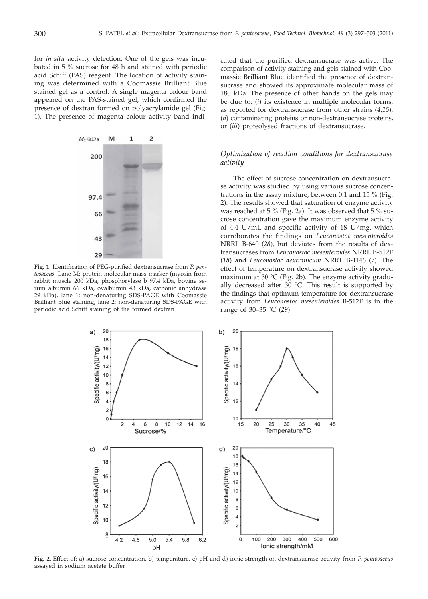for *in situ* activity detection. One of the gels was incubated in 5 % sucrose for 48 h and stained with periodic acid Schiff (PAS) reagent. The location of activity staining was determined with a Coomassie Brilliant Blue stained gel as a control. A single magenta colour band appeared on the PAS-stained gel, which confirmed the presence of dextran formed on polyacrylamide gel (Fig. 1). The presence of magenta colour activity band indi-



**Fig. 1.** Identification of PEG-purified dextransucrase from *P. pentosaceus*. Lane M: protein molecular mass marker (myosin from rabbit muscle 200 kDa, phosphorylase b 97.4 kDa, bovine serum albumin 66 kDa, ovalbumin 43 kDa, carbonic anhydrase 29 kDa), lane 1: non-denaturing SDS-PAGE with Coomassie Brilliant Blue staining, lane 2: non-denaturing SDS-PAGE with periodic acid Schiff staining of the formed dextran

cated that the purified dextransucrase was active. The comparison of activity staining and gels stained with Coomassie Brilliant Blue identified the presence of dextransucrase and showed its approximate molecular mass of 180 kDa. The presence of other bands on the gels may be due to: (*i*) its existence in multiple molecular forms, as reported for dextransucrase from other strains (*4,15*), (*ii*) contaminating proteins or non-dextransucrase proteins, or (*iii*) proteolysed fractions of dextransucrase.

# *Optimization of reaction conditions for dextransucrase activity*

The effect of sucrose concentration on dextransucrase activity was studied by using various sucrose concentrations in the assay mixture, between 0.1 and 15 % (Fig. 2). The results showed that saturation of enzyme activity was reached at 5 % (Fig. 2a). It was observed that 5 % sucrose concentration gave the maximum enzyme activity of 4.4 U/mL and specific activity of 18 U/mg, which corroborates the findings on *Leuconostoc mesenteroides* NRRL B-640 (*28*), but deviates from the results of dextransucrases from *Leuconostoc mesenteroides* NRRL B-512F (*18*) and *Leuconostoc dextranicum* NRRL B-1146 (*7*). The effect of temperature on dextransucrase activity showed maximum at 30  $\degree$ C (Fig. 2b). The enzyme activity gradually decreased after 30  $^{\circ}$ C. This result is supported by the findings that optimum temperature for dextransucrase activity from *Leuconostoc mesenteroides* B-512F is in the range of 30–35 °C (*29*).



**Fig. 2.** Effect of: a) sucrose concentration, b) temperature, c) pH and d) ionic strength on dextransucrase activity from *P. pentosaceus* assayed in sodium acetate buffer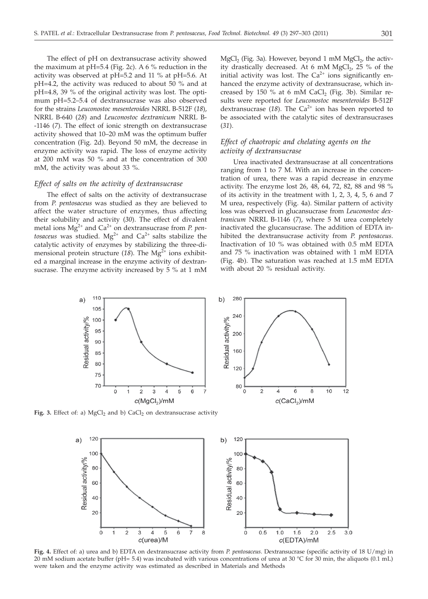The effect of pH on dextransucrase activity showed the maximum at  $pH=5.4$  (Fig. 2c). A 6 % reduction in the activity was observed at pH=5.2 and 11 % at pH=5.6. At pH=4.2, the activity was reduced to about 50 % and at pH=4.8, 39 % of the original activity was lost. The optimum pH=5.2–5.4 of dextransucrase was also observed for the strains *Leuconostoc mesenteroides* NRRL B-512F (*18*), NRRL B-640 (*28*) and *Leuconostoc dextranicum* NRRL B- -1146 (*7*). The effect of ionic strength on dextransucrase activity showed that 10–20 mM was the optimum buffer concentration (Fig. 2d). Beyond 50 mM, the decrease in enzyme activity was rapid. The loss of enzyme activity at 200 mM was 50 % and at the concentration of 300 mM, the activity was about 33 %.

## *Effect of salts on the activity of dextransucrase*

The effect of salts on the activity of dextransucrase from *P. pentosaceus* was studied as they are believed to affect the water structure of enzymes, thus affecting their solubility and activity (*30*). The effect of divalent metal ions Mg<sup>2+</sup> and Ca<sup>2+</sup> on dextransucrase from *P. pentosaceus* was studied.  $Mg^{2+}$  and  $Ca^{2+}$  salts stabilize the catalytic activity of enzymes by stabilizing the three-dimensional protein structure  $(18)$ . The Mg<sup>2+</sup> ions exhibited a marginal increase in the enzyme activity of dextransucrase. The enzyme activity increased by 5 % at 1 mM

 $MgCl<sub>2</sub>$  (Fig. 3a). However, beyond 1 mM  $MgCl<sub>2</sub>$ , the activity drastically decreased. At 6 mM  $MgCl<sub>2</sub>$ , 25 % of the initial activity was lost. The  $Ca^{2+}$  ions significantly enhanced the enzyme activity of dextransucrase, which increased by 150 % at 6 mM CaCl<sub>2</sub> (Fig. 3b). Similar results were reported for *Leuconostoc mesenteroides* B-512F dextransucrase  $(18)$ . The Ca<sup>2+</sup> ion has been reported to be associated with the catalytic sites of dextransucrases (*31*).

# *Effect of chaotropic and chelating agents on the activity of dextransucrase*

Urea inactivated dextransucrase at all concentrations ranging from 1 to 7 M. With an increase in the concentration of urea, there was a rapid decrease in enzyme activity. The enzyme lost 26, 48, 64, 72, 82, 88 and 98 % of its activity in the treatment with 1, 2, 3, 4, 5, 6 and 7 M urea, respectively (Fig. 4a). Similar pattern of activity loss was observed in glucansucrase from *Leuconostoc dextranicum* NRRL B-1146 (*7*), where 5 M urea completely inactivated the glucansucrase. The addition of EDTA inhibited the dextransucrase activity from *P. pentosaceus*. Inactivation of 10 % was obtained with 0.5 mM EDTA and 75 % inactivation was obtained with 1 mM EDTA (Fig. 4b). The saturation was reached at 1.5 mM EDTA with about 20 % residual activity.



Fig. 3. Effect of: a) MgCl<sub>2</sub> and b) CaCl<sub>2</sub> on dextransucrase activity



**Fig. 4.** Effect of: a) urea and b) EDTA on dextransucrase activity from *P. pentosaceus*. Dextransucrase (specific activity of 18 U/mg) in 20 mM sodium acetate buffer (pH= 5.4) was incubated with various concentrations of urea at 30 °C for 30 min, the aliquots (0.1 mL) were taken and the enzyme activity was estimated as described in Materials and Methods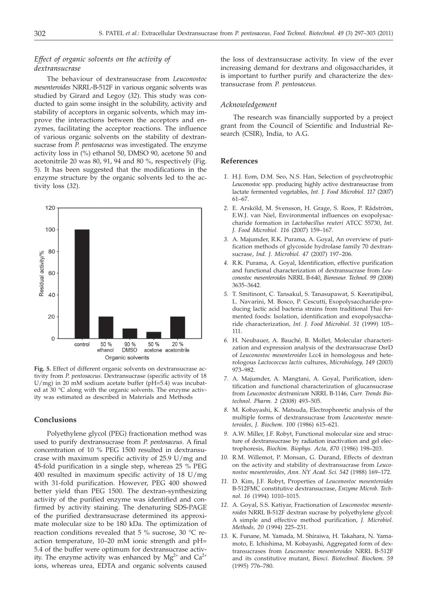# *Effect of organic solvents on the activity of dextransucrase*

The behaviour of dextransucrase from *Leuconostoc mesenteroides* NRRL-B-512F in various organic solvents was studied by Girard and Legoy (*32*). This study was conducted to gain some insight in the solubility, activity and stability of acceptors in organic solvents, which may improve the interactions between the acceptors and enzymes, facilitating the acceptor reactions. The influence of various organic solvents on the stability of dextransucrase from *P. pentosaceus* was investigated. The enzyme activity loss in (%) ethanol 50, DMSO 90, acetone 50 and acetonitrile 20 was 80, 91, 94 and 80 %, respectively (Fig. 5). It has been suggested that the modifications in the enzyme structure by the organic solvents led to the activity loss (*32*).



**Fig. 5.** Effect of different organic solvents on dextransucrase activity from *P. pentosaceus*. Dextransucrase (specific activity of 18 U/mg) in 20 mM sodium acetate buffer (pH=5.4) was incubated at 30 °C along with the organic solvents. The enzyme activity was estimated as described in Materials and Methods

## **Conclusions**

Polyethylene glycol (PEG) fractionation method was used to purify dextransucrase from *P. pentosaceus*. A final concentration of 10 % PEG 1500 resulted in dextransucrase with maximum specific activity of 25.9 U/mg and 45-fold purification in a single step, whereas 25 % PEG 400 resulted in maximum specific activity of 18 U/mg with 31-fold purification. However, PEG 400 showed better yield than PEG 1500. The dextran-synthesizing activity of the purified enzyme was identified and confirmed by activity staining. The denaturing SDS-PAGE of the purified dextransucrase determined its approximate molecular size to be 180 kDa. The optimization of reaction conditions revealed that 5 % sucrose, 30 °C reaction temperature, 10–20 mM ionic strength and pH= 5.4 of the buffer were optimum for dextransucrase activity. The enzyme activity was enhanced by  $Mg^{2+}$  and  $Ca^{2+}$ ions, whereas urea, EDTA and organic solvents caused

the loss of dextransucrase activity. In view of the ever increasing demand for dextrans and oligosaccharides, it is important to further purify and characterize the dextransucrase from *P. pentosaceus.*

#### *Acknowledgement*

The research was financially supported by a project grant from the Council of Scientific and Industrial Research (CSIR), India, to A.G.

#### **References**

- *1.* H.J. Eom, D.M. Seo, N.S. Han, Selection of psychrotrophic *Leuconostoc* spp. producing highly active dextransucrase from lactate fermented vegetables, *Int. J. Food Microbiol. 117* (2007) 61–67.
- *2.* E. Arsköld, M. Svensson, H. Grage, S. Roos, P. Rådström, E.W.J. van Niel, Environmental influences on exopolysaccharide formation in *Lactobacillus reuteri* ATCC 55730, *Int. J. Food Microbiol. 116* (2007) 159–167.
- *3.* A. Majumder, R.K. Purama, A. Goyal, An overview of purification methods of glycoside hydrolase family 70 dextransucrase, *Ind. J. Microbiol. 47* (2007) 197–206.
- *4.* R.K. Purama, A. Goyal, Identification, effective purification and functional characterization of dextransucrase from *Leuconostoc mesenteroides* NRRL B-640, *Bioresour. Technol. 99* (2008) 3635–3642.
- *5.* T. Smitinont, C. Tansakul, S. Tanasupawat, S. Keeratipibul, L. Navarini, M. Bosco, P. Cescutti, Exopolysaccharide-producing lactic acid bacteria strains from traditional Thai fermented foods: Isolation, identification and exopolysaccharide characterization, *Int. J. Food Microbiol. 51* (1999) 105– 111.
- *6.* H. Neubauer, A. Bauché, B. Mollet, Molecular characterization and expression analysis of the dextransucrase DsrD of *Leuconostoc mesenteroides* Lcc4 in homologous and heterologous *Lactococcus lactis* cultures, *Microbiology, 149* (2003) 973–982.
- *7.* A. Majumder, A. Mangtani, A. Goyal, Purification, identification and functional characterization of glucansucrase from *Leuconostoc dextranicum* NRRL B-1146, *Curr. Trends Biotechnol. Pharm. 2* (2008) 493–505.
- *8.* M. Kobayashi, K. Matsuda, Electrophoretic analysis of the multiple forms of dextransucrase from *Leuconostoc mesenteroides, J. Biochem. 100* (1986) 615–621.
- *9.* A.W. Miller, J.F. Robyt, Functional molecular size and structure of dextransucrase by radiation inactivation and gel electrophoresis, *Biochim. Biophys. Acta, 870* (1986) 198–203.
- *10.* R.M. Willemot, P. Monsan, G. Durand, Effects of dextran on the activity and stability of dextransucrase from *Leuconostoc mesenteroides*, *Ann. NY Acad. Sci. 542* (1988) 169–172.
- *11.* D. Kim, J.F. Robyt, Properties of *Leuconostoc mesenteroides* B-512FMC constitutive dextransucrase, *Enzyme Microb. Technol. 16* (1994) 1010–1015.
- *12.* A. Goyal, S.S. Katiyar, Fractionation of *Leuconostoc mesenteroides* NRRL B-512F dextran sucrase by polyethylene glycol: A simple and effective method purification, *J. Microbiol. Methods, 20* (1994) 225–231.
- *13.* K. Funane, M. Yamada, M. Shiraiwa, H. Takahara, N. Yamamoto, E. Ichishima, M. Kobayashi, Aggregated form of dextransucrases from *Leuconostoc mesenteroides* NRRL B-512F and its constitutive mutant, *Biosci. Biotechnol. Biochem. 59* (1995) 776–780.